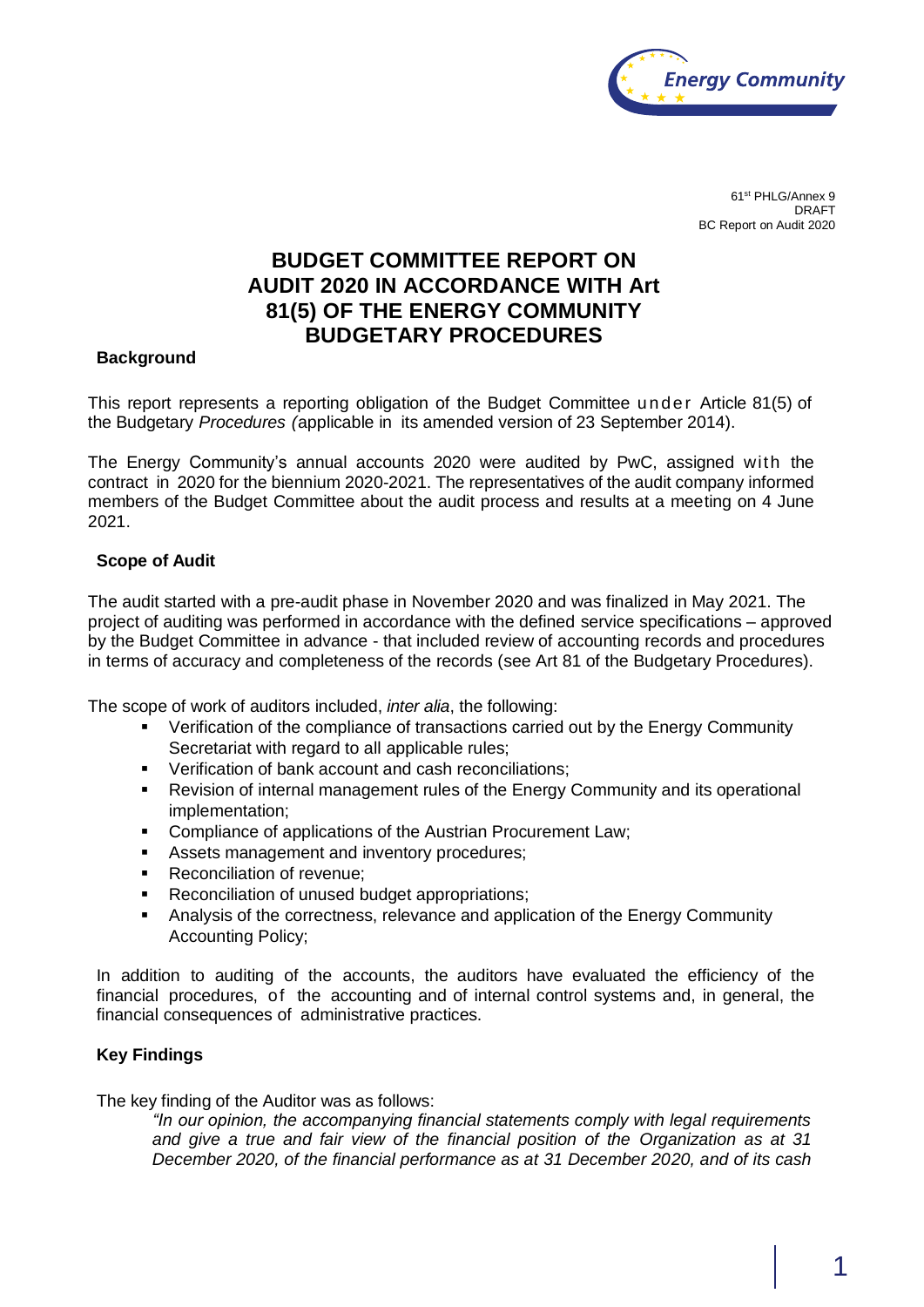

61st PHLG/Annex 9 DRAFT BC Report on Audit 2020

# **BUDGET COMMITTEE REPORT ON AUDIT 2020 IN ACCORDANCE WITH Art 81(5) OF THE ENERGY COMMUNITY BUDGETARY PROCEDURES**

### **Background**

This report represents a reporting obligation of the Budget Committee under Article 81(5) of the Budgetary *Procedures (*applicable in its amended version of 23 September 2014).

The Energy Community's annual accounts 2020 were audited by PwC, assigned with the contract in 2020 for the biennium 2020-2021. The representatives of the audit company informed members of the Budget Committee about the audit process and results at a meeting on 4 June 2021.

#### **Scope of Audit**

The audit started with a pre-audit phase in November 2020 and was finalized in May 2021. The project of auditing was performed in accordance with the defined service specifications – approved by the Budget Committee in advance - that included review of accounting records and procedures in terms of accuracy and completeness of the records (see Art 81 of the Budgetary Procedures).

The scope of work of auditors included, *inter alia*, the following:

- Verification of the compliance of transactions carried out by the Energy Community Secretariat with regard to all applicable rules;
- **Verification of bank account and cash reconciliations;**
- Revision of internal management rules of the Energy Community and its operational implementation;
- **Compliance of applications of the Austrian Procurement Law;**
- Assets management and inventory procedures;
- **Reconciliation of revenue;**
- **Reconciliation of unused budget appropriations;**
- Analysis of the correctness, relevance and application of the Energy Community Accounting Policy;

In addition to auditing of the accounts, the auditors have evaluated the efficiency of the financial procedures, of the accounting and of internal control systems and, in general, the financial consequences of administrative practices.

## **Key Findings**

The key finding of the Auditor was as follows:

*"In our opinion, the accompanying financial statements comply with legal requirements and give a true and fair view of the financial position of the Organization as at 31 December 2020, of the financial performance as at 31 December 2020, and of its cash*